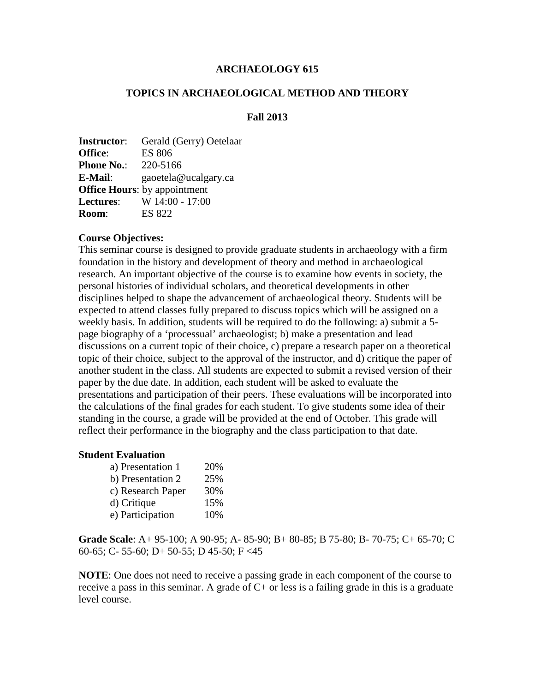## **ARCHAEOLOGY 615**

# **TOPICS IN ARCHAEOLOGICAL METHOD AND THEORY**

# **Fall 2013**

| Gerald (Gerry) Oetelaar             |
|-------------------------------------|
| <b>ES 806</b>                       |
| 220-5166                            |
| gaoetela@ucalgary.ca                |
| <b>Office Hours:</b> by appointment |
| W 14:00 - 17:00                     |
| <b>ES 822</b>                       |
|                                     |

#### **Course Objectives:**

This seminar course is designed to provide graduate students in archaeology with a firm foundation in the history and development of theory and method in archaeological research. An important objective of the course is to examine how events in society, the personal histories of individual scholars, and theoretical developments in other disciplines helped to shape the advancement of archaeological theory. Students will be expected to attend classes fully prepared to discuss topics which will be assigned on a weekly basis. In addition, students will be required to do the following: a) submit a 5 page biography of a 'processual' archaeologist; b) make a presentation and lead discussions on a current topic of their choice, c) prepare a research paper on a theoretical topic of their choice, subject to the approval of the instructor, and d) critique the paper of another student in the class. All students are expected to submit a revised version of their paper by the due date. In addition, each student will be asked to evaluate the presentations and participation of their peers. These evaluations will be incorporated into the calculations of the final grades for each student. To give students some idea of their standing in the course, a grade will be provided at the end of October. This grade will reflect their performance in the biography and the class participation to that date.

#### **Student Evaluation**

| a) Presentation 1 | 20% |
|-------------------|-----|
| b) Presentation 2 | 25% |
| c) Research Paper | 30% |
| d) Critique       | 15% |
| e) Participation  | 10% |

**Grade Scale**: A+ 95-100; A 90-95; A- 85-90; B+ 80-85; B 75-80; B- 70-75; C+ 65-70; C 60-65; C- 55-60; D+ 50-55; D 45-50; F <45

**NOTE**: One does not need to receive a passing grade in each component of the course to receive a pass in this seminar. A grade of  $C<sub>+</sub>$  or less is a failing grade in this is a graduate level course.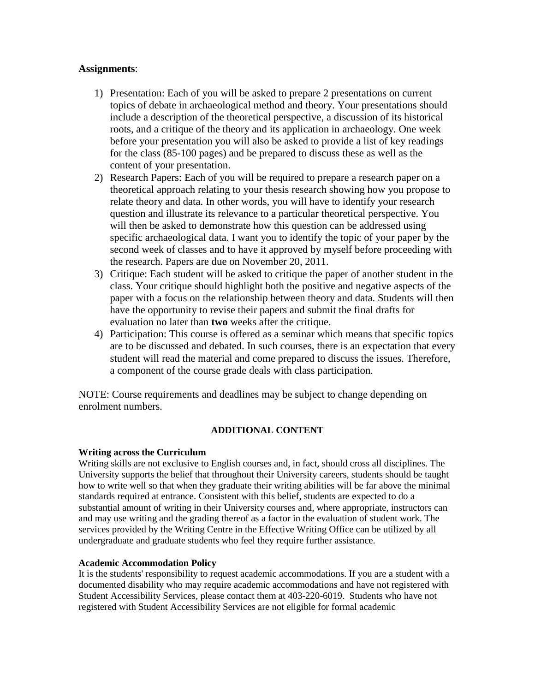## **Assignments**:

- 1) Presentation: Each of you will be asked to prepare 2 presentations on current topics of debate in archaeological method and theory. Your presentations should include a description of the theoretical perspective, a discussion of its historical roots, and a critique of the theory and its application in archaeology. One week before your presentation you will also be asked to provide a list of key readings for the class (85-100 pages) and be prepared to discuss these as well as the content of your presentation.
- 2) Research Papers: Each of you will be required to prepare a research paper on a theoretical approach relating to your thesis research showing how you propose to relate theory and data. In other words, you will have to identify your research question and illustrate its relevance to a particular theoretical perspective. You will then be asked to demonstrate how this question can be addressed using specific archaeological data. I want you to identify the topic of your paper by the second week of classes and to have it approved by myself before proceeding with the research. Papers are due on November 20, 2011.
- 3) Critique: Each student will be asked to critique the paper of another student in the class. Your critique should highlight both the positive and negative aspects of the paper with a focus on the relationship between theory and data. Students will then have the opportunity to revise their papers and submit the final drafts for evaluation no later than **two** weeks after the critique.
- 4) Participation: This course is offered as a seminar which means that specific topics are to be discussed and debated. In such courses, there is an expectation that every student will read the material and come prepared to discuss the issues. Therefore, a component of the course grade deals with class participation.

NOTE: Course requirements and deadlines may be subject to change depending on enrolment numbers.

# **ADDITIONAL CONTENT**

#### **Writing across the Curriculum**

Writing skills are not exclusive to English courses and, in fact, should cross all disciplines. The University supports the belief that throughout their University careers, students should be taught how to write well so that when they graduate their writing abilities will be far above the minimal standards required at entrance. Consistent with this belief, students are expected to do a substantial amount of writing in their University courses and, where appropriate, instructors can and may use writing and the grading thereof as a factor in the evaluation of student work. The services provided by the Writing Centre in the Effective Writing Office can be utilized by all undergraduate and graduate students who feel they require further assistance.

#### **Academic Accommodation Policy**

It is the students' responsibility to request academic accommodations. If you are a student with a documented disability who may require academic accommodations and have not registered with Student Accessibility Services, please contact them at 403-220-6019. Students who have not registered with Student Accessibility Services are not eligible for formal academic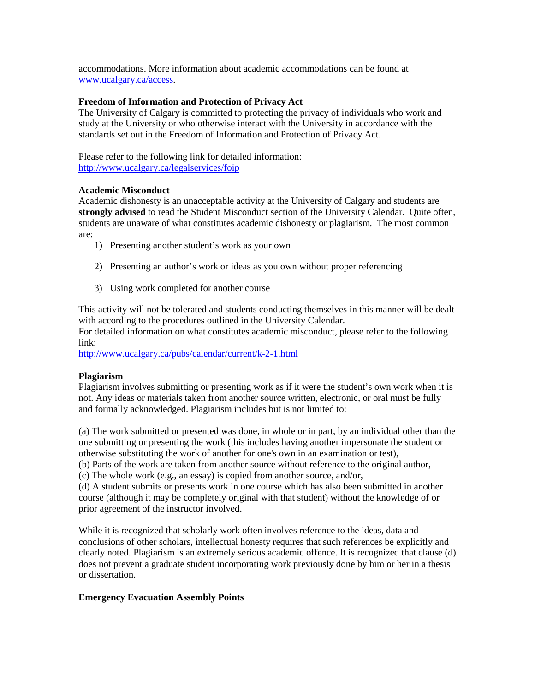accommodations. More information about academic accommodations can be found at [www.ucalgary.ca/access.](http://www.ucalgary.ca/access)

#### **Freedom of Information and Protection of Privacy Act**

The University of Calgary is committed to protecting the privacy of individuals who work and study at the University or who otherwise interact with the University in accordance with the standards set out in the Freedom of Information and Protection of Privacy Act.

Please refer to the following link for detailed information: <http://www.ucalgary.ca/legalservices/foip>

#### **Academic Misconduct**

Academic dishonesty is an unacceptable activity at the University of Calgary and students are **strongly advised** to read the Student Misconduct section of the University Calendar. Quite often, students are unaware of what constitutes academic dishonesty or plagiarism. The most common are:

- 1) Presenting another student's work as your own
- 2) Presenting an author's work or ideas as you own without proper referencing
- 3) Using work completed for another course

This activity will not be tolerated and students conducting themselves in this manner will be dealt with according to the procedures outlined in the University Calendar.

For detailed information on what constitutes academic misconduct, please refer to the following link:

<http://www.ucalgary.ca/pubs/calendar/current/k-2-1.html>

#### **Plagiarism**

Plagiarism involves submitting or presenting work as if it were the student's own work when it is not. Any ideas or materials taken from another source written, electronic, or oral must be fully and formally acknowledged. Plagiarism includes but is not limited to:

(a) The work submitted or presented was done, in whole or in part, by an individual other than the one submitting or presenting the work (this includes having another impersonate the student or otherwise substituting the work of another for one's own in an examination or test),

(b) Parts of the work are taken from another source without reference to the original author,

(c) The whole work (e.g., an essay) is copied from another source, and/or,

(d) A student submits or presents work in one course which has also been submitted in another course (although it may be completely original with that student) without the knowledge of or prior agreement of the instructor involved.

While it is recognized that scholarly work often involves reference to the ideas, data and conclusions of other scholars, intellectual honesty requires that such references be explicitly and clearly noted. Plagiarism is an extremely serious academic offence. It is recognized that clause (d) does not prevent a graduate student incorporating work previously done by him or her in a thesis or dissertation.

#### **Emergency Evacuation Assembly Points**